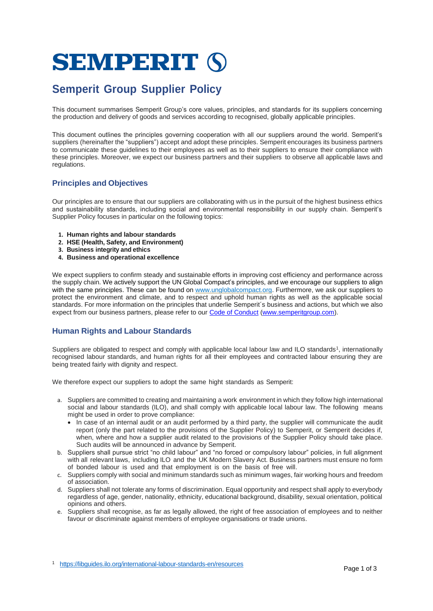# **SEMPERIT (S)**

# **Semperit Group Supplier Policy**

This document summarises Semperit Group's core values, principles, and standards for its suppliers concerning the production and delivery of goods and services according to recognised, globally applicable principles.

This document outlines the principles governing cooperation with all our suppliers around the world. Semperit's suppliers (hereinafter the "suppliers") accept and adopt these principles. Semperit encourages its business partners to communicate these guidelines to their employees as well as to their suppliers to ensure their compliance with these principles. Moreover, we expect our business partners and their suppliers to observe all applicable laws and regulations.

#### **Principles and Objectives**

Our principles are to ensure that our suppliers are collaborating with us in the pursuit of the highest business ethics and sustainability standards, including social and environmental responsibility in our supply chain. Semperit's Supplier Policy focuses in particular on the following topics:

- **1. Human rights and labour standards**
- **2. HSE (Health, Safety, and Environment)**
- **3. Business integrity and ethics**
- **4. Business and operational excellence**

We expect suppliers to confirm steady and sustainable efforts in improving cost efficiency and performance across the supply chain. We actively support the UN Global Compact's principles, and we encourage our suppliers to align with the same principles. These can be found on [www.unglobalcompact.org.](http://www.unglobalcompact.org/) Furthermore, we ask our suppliers to protect the environment and climate, and to respect and uphold human rights as well as the applicable social standards. For more information on the principles that underlie Semperit´s business and actions, but which we also expect from our business partners, please refer to ou[r Code of Conduct](https://www.semperitgroup.com/fileadmin/user_upload/MediaLibrary/SemperitGroup/Company/Compliance/CoC_EN_220329.pdf) [\(www.semperitgroup.com\)](http://www.semperitgroup.com/).

#### **Human Rights and Labour Standards**

Suppliers are obligated to respect and comply with applicable local labour law and ILO standards<sup>1</sup>, internationally recognised labour standards, and human rights for all their employees and contracted labour ensuring they are being treated fairly with dignity and respect.

We therefore expect our suppliers to adopt the same hight standards as Semperit:

- a. Suppliers are committed to creating and maintaining a work environment in which they follow high international social and labour standards (ILO), and shall comply with applicable local labour law. The following means might be used in order to prove compliance:
	- In case of an internal audit or an audit performed by a third party, the supplier will communicate the audit report (only the part related to the provisions of the Supplier Policy) to Semperit, or Semperit decides if, when, where and how a supplier audit related to the provisions of the Supplier Policy should take place. Such audits will be announced in advance by Semperit.
- b. Suppliers shall pursue strict "no child labour" and "no forced or compulsory labour" policies, in full alignment with all relevant laws, including ILO and the UK Modern Slavery Act. Business partners must ensure no form of bonded labour is used and that employment is on the basis of free will.
- c. Suppliers comply with social and minimum standards such as minimum wages, fair working hours and freedom of association.
- d. Suppliers shall not tolerate any forms of discrimination. Equal opportunity and respect shall apply to everybody regardless of age, gender, nationality, ethnicity, educational background, disability, sexual orientation, political opinions and others.
- e. Suppliers shall recognise, as far as legally allowed, the right of free association of employees and to neither favour or discriminate against members of employee organisations or trade unions.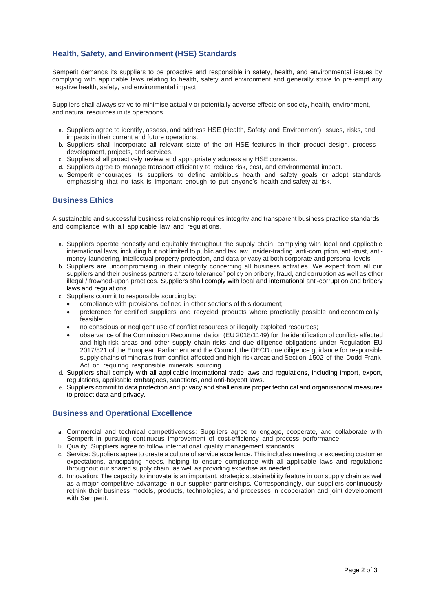## **Health, Safety, and Environment (HSE) Standards**

Semperit demands its suppliers to be proactive and responsible in safety, health, and environmental issues by complying with applicable laws relating to health, safety and environment and generally strive to pre-empt any negative health, safety, and environmental impact.

Suppliers shall always strive to minimise actually or potentially adverse effects on society, health, environment, and natural resources in its operations.

- a. Suppliers agree to identify, assess, and address HSE (Health, Safety and Environment) issues, risks, and impacts in their current and future operations.
- b. Suppliers shall incorporate all relevant state of the art HSE features in their product design, process development, projects, and services.
- c. Suppliers shall proactively review and appropriately address any HSE concerns.
- d. Suppliers agree to manage transport efficiently to reduce risk, cost, and environmental impact.
- e. Semperit encourages its suppliers to define ambitious health and safety goals or adopt standards emphasising that no task is important enough to put anyone's health and safety at risk.

#### **Business Ethics**

A sustainable and successful business relationship requires integrity and transparent business practice standards and compliance with all applicable law and regulations.

- a. Suppliers operate honestly and equitably throughout the supply chain, complying with local and applicable international laws, including but not limited to public and tax law, insider-trading, anti-corruption, anti-trust, antimoney-laundering, intellectual property protection, and data privacy at both corporate and personal levels.
- b. Suppliers are uncompromising in their integrity concerning all business activities. We expect from all our suppliers and their business partners a "zero tolerance" policy on bribery, fraud, and corruption as well as other illegal / frowned-upon practices. Suppliers shall comply with local and international anti-corruption and bribery laws and regulations.
- c. Suppliers commit to responsible sourcing by:
	- compliance with provisions defined in other sections of this document;
	- preference for certified suppliers and recycled products where practically possible and economically feasible;
	- no conscious or negligent use of conflict resources or illegally exploited resources;
	- observance of the Commission Recommendation (EU 2018/1149) for the identification of conflict- affected and high-risk areas and other supply chain risks and due diligence obligations under Regulation EU 2017/821 of the European Parliament and the Council, the OECD due diligence guidance for responsible supply chains of minerals from conflict-affected and high-risk areas and Section 1502 of the Dodd-Frank-Act on requiring responsible minerals sourcing.
- d. Suppliers shall comply with all applicable international trade laws and regulations, including import, export, regulations, applicable embargoes, sanctions, and anti-boycott laws.
- e. Suppliers commit to data protection and privacy and shall ensure proper technical and organisational measures to protect data and privacy.

#### **Business and Operational Excellence**

- a. Commercial and technical competitiveness: Suppliers agree to engage, cooperate, and collaborate with Semperit in pursuing continuous improvement of cost-efficiency and process performance.
- b. Quality: Suppliers agree to follow international quality management standards.
- c. Service: Suppliers agree to create a culture of service excellence. This includes meeting or exceeding customer expectations, anticipating needs, helping to ensure compliance with all applicable laws and regulations throughout our shared supply chain, as well as providing expertise as needed.
- d. Innovation: The capacity to innovate is an important, strategic sustainability feature in our supply chain as well as a major competitive advantage in our supplier partnerships. Correspondingly, our suppliers continuously rethink their business models, products, technologies, and processes in cooperation and joint development with Semperit.